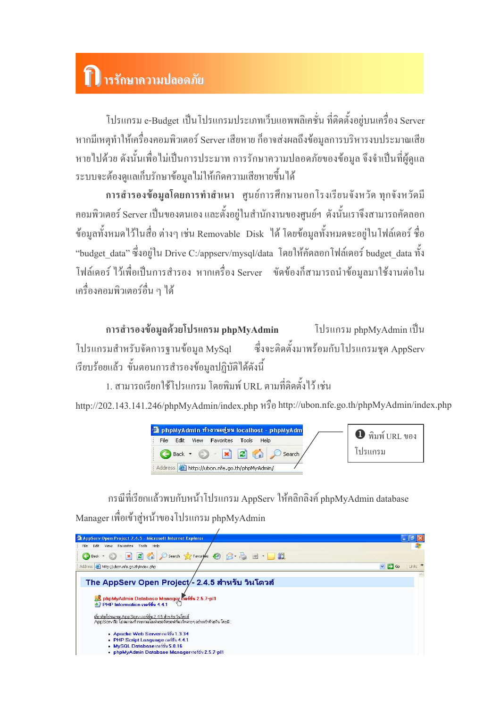## 1) ารรักษาความปลอดภัย

โปรแกรม e-Budget เป็นโปรแกรมประเภทเว็บแอพพลิเคชั่น ที่ติดตั้งอยู่บนเครื่อง Server หากมีเหตุทำให้เครื่องคอมพิวเตอร์ Server เสียหาย ก็อาจส่งผลถึงข้อมูลการบริหารงบประมาณเสีย หายไปด้วย ดังนั้นเพื่อไม่เป็นการประมาท การรักษาความปลอดภัยของข้อมูล จึงจำเป็นที่ผู้ดูแล ้ระบบจะต้องดูแลเกี่บรักษาข้อมูลไม่ให้เกิดความเสียหายขึ้นได้

ึการสำรองข้อมูลโดยการทำสำเนา ศูนย์การศึกษานอกโรงเรียนจังหวัด ทุกจังหวัดมี ี คอมพิวเตอร์ Server เป็นของตนเอง และตั้งอยู่ในสำนักงานของศูนย์ฯ ดังนั้นเราจึงสามารถคัดลอก ข้อมูลทั้งหมดไว้ในสื่อ ต่างๆ เช่น Removable Disk "ได้ โดยข้อมูลทั้งหมดจะอยู่ในโฟล์เดอร์ ชื่อ "budget data" ซึ่งอยู่ใน Drive C:/appserv/mysql/data โดยให้คัดลอกโฟล์เคอร์ budget data ทั้ง โฟล์เดอร์ ไว้เพื่อเป็นการสำรอง หากเครื่อง Server ขัดข้องก็สามารถนำข้อมลมาใช้งานต่อใน ้เครื่องคอมพิวเตอร์อื่น ๆ ได้

การสำรองข้อมูลด้วยโปรแกรม phpMyAdmin โปรแกรม phpMyAdmin เป็น ซึ่งจะติดตั้งมาพร้อมกับโปรแกรมชุด AppServ โปรแกรมสำหรับจัดการฐานข้อมูล MySql เรียบร้อยแล้ว ขั้นตอนการสำรองข้อมูลปฏิบัติได้ดังนี้

1. สามารถเรียกใช้โปรแกรม โดยพิมพ์ URL ตามที่ติดตั้งไว้ เช่น

http://202.143.141.246/phpMyAdmin/index.php หรือ http://ubon.nfe.go.th/phpMyAdmin/index.php



กรณีที่เรียกแล้วพบกับหน้าโปรแกรม AppServ ให้คลิกลิงค์ phpMyAdmin database Manager เพื่อเข้าสู่หน้าของโปรแกรม phpMyAdmin

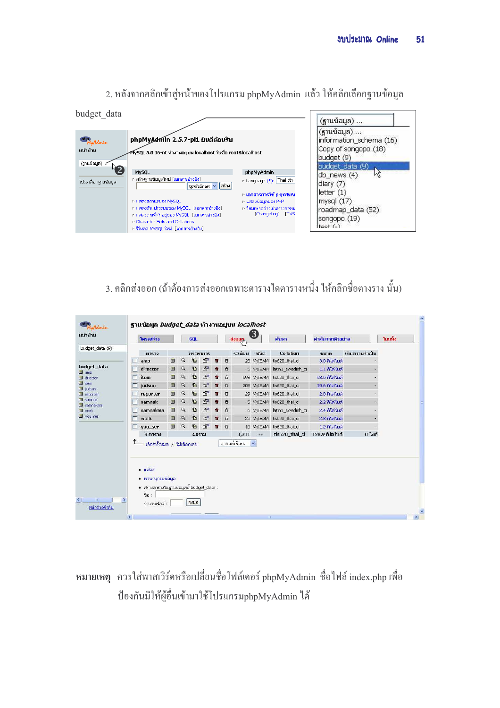| budget data                        |                                                                                                                                                                                                                                                                             |                                                                                                                                            | (ฐานข้อมูล)                                                                                                            |
|------------------------------------|-----------------------------------------------------------------------------------------------------------------------------------------------------------------------------------------------------------------------------------------------------------------------------|--------------------------------------------------------------------------------------------------------------------------------------------|------------------------------------------------------------------------------------------------------------------------|
| MyAdmin<br>หน้าบ้าน<br>(ฐานข้อมูล) | phpMyAdmin 2.5.7-pl1 ยินดีต้อนรับ<br>∕MySQL 5.0.16-nt ทำงานอยู่บน localhost ในชื่อ root@localhost                                                                                                                                                                           |                                                                                                                                            | (ฐานข้อมูล)<br>information_schema (16)<br>Copy of songopo (18)<br>budget (9)<br>budget_data (9)                        |
| โปรดเลือกฐานข้อมูล                 | <b>MySQL</b><br>สร้างฐานข้อมูลใหม่ [เอกสารอ้างอิง]<br>ชุดตัวอักษร v สร้าง<br>n แสดงสถานะของ MySQL<br>n แสดงตัวแปรระบบของ MySQL [เอกสารอ้างอิง].<br>n แสดงงานที่ท่าอยู่ของ MySQL [เอกสารอ้างอิง]<br>r Character Sets and Collations<br>ir รีโหลด MySQL ใหม่. [เอกสารอ้างอิง] | phpMyAdmin<br>r Language (*): Thai (th-1<br>r เอกสารการใช้ phpMyAc<br>⊵ แสดงข้อมูลของ PHP<br>⊪ โฮมเพจอย่างเป็นทางการขย<br>[ChangeLog] [CVS | db_news (4)<br>$\text{dary}(7)$<br>letter $(1)$<br>mysql $(17)$<br>roadmap_data (52)<br>songopo (19)<br>$ $ tpet $(-)$ |

2. หลังจากคลิกเข้าสู่หน้าของโปรแกรม phpMyAdmin แล้ว ให้คลิกเลือกฐานข้อมูล

## 3. คลิกส่งออก (ถ้าต้องการส่งออกเฉพาะตารางใดตารางหนึ่ง ให้คลิกชื่อตางราง นั้น)

|                                            |   | โครงสร้าง                    |   |              | <b>SOL</b> |                |   |   | ส่งออก         | 3            | ค้นหา                      | คำค้นจากตัวอย่าง |                | โยนทิ้ง |
|--------------------------------------------|---|------------------------------|---|--------------|------------|----------------|---|---|----------------|--------------|----------------------------|------------------|----------------|---------|
| budget_data (9)                            |   | ตาราง                        |   |              |            | กระทำการ       |   |   | ระเบียน        | ชนิด         | Collation                  | ขนาด             | เกินความจำเป็น |         |
|                                            | П | amp                          | 皿 | $\alpha$     | 看          | ß              | û | 安 |                |              | 28 MyISAM tis620 thai ci   | 3.0 กิโลไบต์     |                |         |
| budget_data                                |   | director                     | 皿 | $\mathbb{Q}$ | 看          | $\mathbb{F}$   | û | 安 |                |              | 5 MyISAM latin1 swedish ci | 1.1 กิโลไบต์     |                |         |
| <b>III</b> amp<br><b>III</b> director      | п | item                         | 皿 | Q            | 右          | $\circledcirc$ | û | 命 |                |              | 998 MyISAM tis620 thai ci  | 93.6 กิโลไบต์    |                |         |
| $\mathbb{I}$ item                          |   | judsun                       | 皿 | $\mathbb{Q}$ | 右          | $r^*$          | û | 命 |                |              | 205 MyISAM tis620 thai ci  | 19.6 กิโลไบต์    |                |         |
| <b>III</b> judsun<br>$\mathbb{I}$ reporter | п | reporter                     | 皿 | Q            | 右          | $\circledcirc$ | û | 命 |                |              | 29 MyISAM tis620 thai ci   | 2.8 กิโลไบต์     |                |         |
| <b>III</b> samnak<br><b>III</b> samnakma   |   | samnak                       | 皿 | $\mathbb{Q}$ | 看          | $\mathbb{F}$   | û | 命 |                |              | 5 MyISAM tis620 thai ci    | 2.2 กิโลไบต์     |                |         |
| <b>III</b> work                            |   | samnakma                     | 皿 | Q            | 看          | $\mathbb{F}$   | û | 畲 |                |              | 6 MyISAM latin1 swedish ci | 2.4 กิโลไบต์     |                |         |
| <b>III</b> you ser                         | п | work                         | 皿 | $\mathbb{Q}$ | 稻          | $\mathbb{F}$   | û | 命 |                |              | 25 MyISAM tis620_thai_ci   | 2.8 กิโลไบต์     |                |         |
|                                            |   | you_ser                      | E | Q            | 心          | $\mathbb{Z}$   | ŵ | 命 |                | 10 MyISAM    | tis620 thai ci             | 1.2 กิโลไบต์     |                |         |
|                                            |   | 9 ตาราง                      |   |              |            | ผลรวม          |   |   | 1,311          | $- -$        | tis620 thai ci             | 128.9 กิโลไบต์   | 0 ไบต์         |         |
|                                            |   | ้เลือกทั้งหมด / "ไม่เลือกเลย |   |              |            |                |   |   | ทำกับที่เลือก: | $\mathbf{v}$ |                            |                  |                |         |

## หมายเหตุ ควรใส่พาสเวิร์ดหรือเปลี่ยนชื่อโฟล์เดอร์ phpMyAdmin ชื่อไฟล์ index.php เพื่อ ป้องกันมิให้ผู้อื่นเข้ามาใช้โปรแกรมphpMyAdmin ได้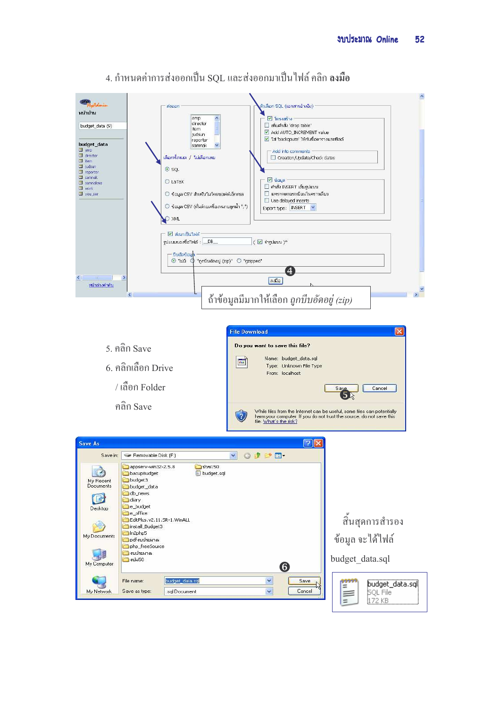

## 4. กำหนดค่าการส่งออกเป็น SOL และส่งออกมาเป็นไฟล์ คลิก **ลงมือ**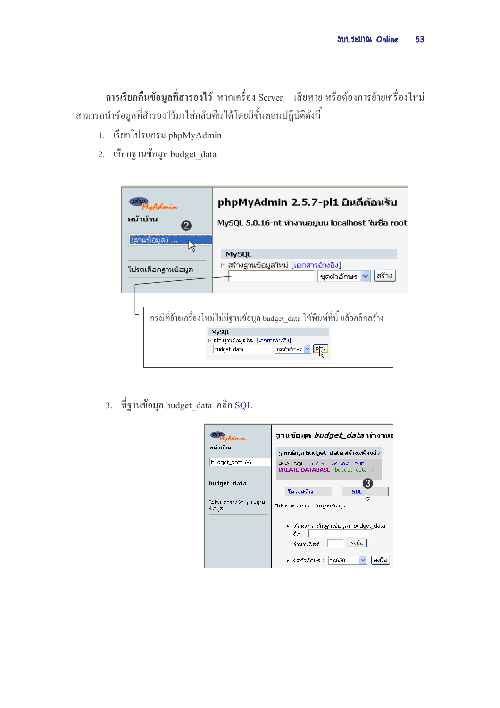ิ การเรียกคืนข้อมูลที่สำรองไว้ หากเครื่อง Server แสียหาย หรือต้องการย้ายเครื่องใหม่ สามารถนำข้อมูลที่สำรองไว้มาใส่กลับคืนได้โดยมีขั้นตอนปฏิบัติดังนี้

- 1. เรียกโปรแกรม phpMyAdmin
- 2. เลือกฐานข้อมูล budget data

| หน้าบ้าน | (ฐานข้อมูล)<br>โปรดเลือกฐานข้อมูล | phpMyAdmin 2.5.7-pl1 ยินดีต้อนรับ<br>MySQL 5.0.16-nt ทำงานอยู่บน localhost ในชื่อ root<br><b>MySQL</b><br>n สร้างฐานข้อมูลใหม่ [เอกสารอ้างอิง]<br>สร้าง<br>ชุดตัวอักษร |
|----------|-----------------------------------|------------------------------------------------------------------------------------------------------------------------------------------------------------------------|
|          |                                   | กรณีที่ย้ายเครื่องใหม่ไม่มีฐานข้อมูล budget  data ให้พิมพ์ที่นี้ แล้วคลิกสร้าง<br><b>MySQL</b><br>n สร้างฐานข้อมูลใหม่ [เอกสารอ้างอิง]<br>budget_data<br>ชุดตัวอักษร   |

3. ที่ฐานข้อมูล budget\_data คลิก SQL

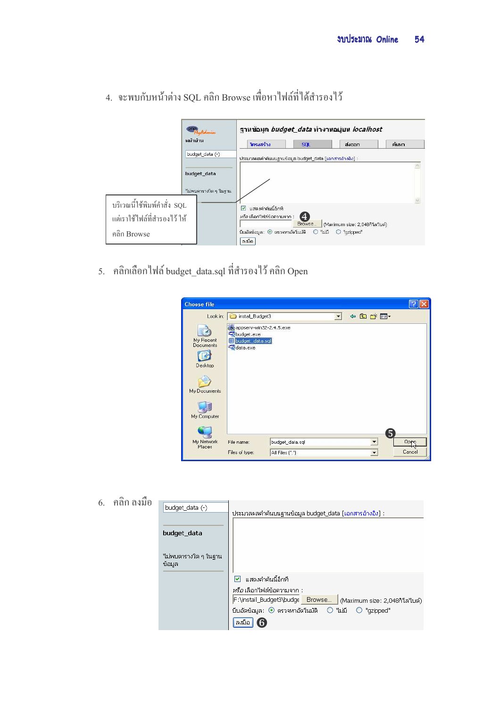|                              |                      |                                                        |              | ฐานข้อมูล <i>budget_data</i> ทำงานอยู่บน <i>localhost</i> |       |  |
|------------------------------|----------------------|--------------------------------------------------------|--------------|-----------------------------------------------------------|-------|--|
|                              | หน้าบ้าน             | โครงสร้าง                                              | <b>SQL</b>   | ส่งออก                                                    | ค้นหา |  |
|                              | budget_data (-)      | ประมวลผลคำค้นบนฐานข้อมูล budget_data [เอกสารอ้างอิง] : |              |                                                           |       |  |
|                              |                      |                                                        |              |                                                           |       |  |
|                              | budget_data          |                                                        |              |                                                           |       |  |
|                              | ใม่พบตารางใด ๆ ในลาน |                                                        |              |                                                           |       |  |
| บริเวณนี้ใช้พิมพ์คำสั่ง SQL  |                      |                                                        |              |                                                           |       |  |
|                              |                      | แสดงคำคันนี้อีกที<br>$\overline{\mathbf{v}}$           |              |                                                           |       |  |
| แต่เราใช้ไฟล์ที่สำรองไว้ ให้ |                      | <i>หรือ</i> เลือกใฟล์ข้อความจาก :                      | (4<br>Browse | (Maximum size: 2,048กิโล ใบต์)                            |       |  |
| คลิก Browse                  |                      | บีบอัตข้อมล: $\odot$ ตรวจหาอัตโนมัติ $\odot$<br>ลงมือ  |              | ไม่มี<br>$\bigcirc$ "qzipped"                             |       |  |

4. จะพบกับหน้าต่าง SQL คลิก Browse เพื่อหาไฟล์ที่ได้สำรองไว้

5. คลิกเลือกไฟล์ budget\_data.sql ที่สำรองไว้ คลิก Open

| <b>Choose file</b>   |                                    |                 |        |        |
|----------------------|------------------------------------|-----------------|--------|--------|
| Look in:             | install_Budget3                    |                 | ← 白び图- |        |
|                      | appserv-win32-2.4.5.exe            |                 |        |        |
| My Recent            | budget.exe<br>budget_data.sql<br>窜 |                 |        |        |
| Documents            | data.exe                           |                 |        |        |
| Desktop              |                                    |                 |        |        |
|                      |                                    |                 |        |        |
|                      |                                    |                 |        |        |
| My Documents         |                                    |                 |        |        |
|                      |                                    |                 |        |        |
| My Computer          |                                    |                 |        |        |
|                      |                                    |                 |        |        |
|                      |                                    |                 |        | 5      |
| My Network<br>Places | File name:                         | budget_data.sql |        | Oppo   |
|                      | Files of type:                     | All Files (*.*) |        | Cancel |

 $6.$  คลิก ลงมือ

| budget_data (-)                 | ประมวลผลคำค้นบนฐานข้อมูล budget_data [เอกสารอ้างอิง] ::                                                |
|---------------------------------|--------------------------------------------------------------------------------------------------------|
| budget_data                     |                                                                                                        |
| "ไม่พบตารางใด ๆ ในฐาน<br>ข้อมูล |                                                                                                        |
|                                 | แสดงคำคันนี้อีกที<br>M                                                                                 |
|                                 | <i>หรือ</i> เลือกใฟล์ข้อความจาก :<br>F:\install_Budget3\budge Browse<br>(Maximum size: 2,048กิโล ใบต์) |
|                                 | $\bigcirc$ 1<br>บีบอัดข้อมูล: ◉ ตรวจหาอัตโนมัติ<br>"qzipped"                                           |
|                                 | ลงมือ                                                                                                  |